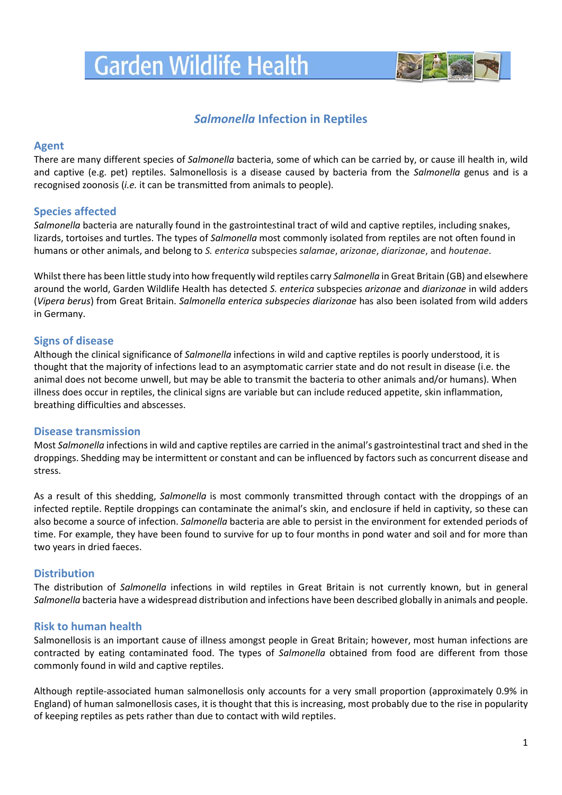# **Garden Wildlife Health**



# *Salmonella* **Infection in Reptiles**

# **Agent**

There are many different species of *Salmonella* bacteria, some of which can be carried by, or cause ill health in, wild and captive (e.g. pet) reptiles. Salmonellosis is a disease caused by bacteria from the *Salmonella* genus and is a recognised zoonosis (*i.e.* it can be transmitted from animals to people).

# **Species affected**

*Salmonella* bacteria are naturally found in the gastrointestinal tract of wild and captive reptiles, including snakes, lizards, tortoises and turtles. The types of *Salmonella* most commonly isolated from reptiles are not often found in humans or other animals, and belong to *S. enterica* subspecies *salamae*, *arizonae*, *diarizonae*, and *houtenae*.

Whilst there has been little study into how frequently wild reptiles carry *Salmonella* in Great Britain (GB) and elsewhere around the world, Garden Wildlife Health has detected *S. enterica* subspecies *arizonae* and *diarizonae* in wild adders (*Vipera berus*) from Great Britain. *Salmonella enterica subspecies diarizonae* has also been isolated from wild adders in Germany.

# **Signs of disease**

Although the clinical significance of *Salmonella* infections in wild and captive reptiles is poorly understood, it is thought that the majority of infections lead to an asymptomatic carrier state and do not result in disease (i.e. the animal does not become unwell, but may be able to transmit the bacteria to other animals and/or humans). When illness does occur in reptiles, the clinical signs are variable but can include reduced appetite, skin inflammation, breathing difficulties and abscesses.

## **Disease transmission**

Most *Salmonella* infections in wild and captive reptiles are carried in the animal's gastrointestinal tract and shed in the droppings. Shedding may be intermittent or constant and can be influenced by factors such as concurrent disease and stress.

As a result of this shedding, *Salmonella* is most commonly transmitted through contact with the droppings of an infected reptile. Reptile droppings can contaminate the animal's skin, and enclosure if held in captivity, so these can also become a source of infection. *Salmonella* bacteria are able to persist in the environment for extended periods of time. For example, they have been found to survive for up to four months in pond water and soil and for more than two years in dried faeces.

## **Distribution**

The distribution of *Salmonella* infections in wild reptiles in Great Britain is not currently known, but in general *Salmonella* bacteria have a widespread distribution and infections have been described globally in animals and people.

## **Risk to human health**

Salmonellosis is an important cause of illness amongst people in Great Britain; however, most human infections are contracted by eating contaminated food. The types of *Salmonella* obtained from food are different from those commonly found in wild and captive reptiles.

Although reptile-associated human salmonellosis only accounts for a very small proportion (approximately 0.9% in England) of human salmonellosis cases, it is thought that this is increasing, most probably due to the rise in popularity of keeping reptiles as pets rather than due to contact with wild reptiles.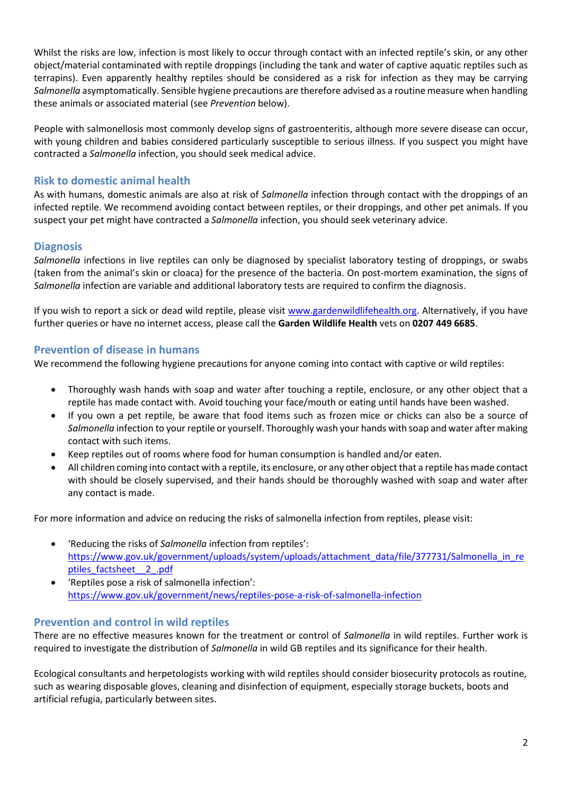Whilst the risks are low, infection is most likely to occur through contact with an infected reptile's skin, or any other object/material contaminated with reptile droppings (including the tank and water of captive aquatic reptiles such as terrapins). Even apparently healthy reptiles should be considered as a risk for infection as they may be carrying *Salmonella* asymptomatically. Sensible hygiene precautions are therefore advised as a routine measure when handling these animals or associated material (see *Prevention* below).

People with salmonellosis most commonly develop signs of gastroenteritis, although more severe disease can occur, with young children and babies considered particularly susceptible to serious illness. If you suspect you might have contracted a *Salmonella* infection, you should seek medical advice.

# **Risk to domestic animal health**

As with humans, domestic animals are also at risk of *Salmonella* infection through contact with the droppings of an infected reptile. We recommend avoiding contact between reptiles, or their droppings, and other pet animals. If you suspect your pet might have contracted a *Salmonella* infection, you should seek veterinary advice.

# **Diagnosis**

*Salmonella* infections in live reptiles can only be diagnosed by specialist laboratory testing of droppings, or swabs (taken from the animal's skin or cloaca) for the presence of the bacteria. On post-mortem examination, the signs of *Salmonella* infection are variable and additional laboratory tests are required to confirm the diagnosis.

If you wish to report a sick or dead wild reptile, please visit [www.gardenwildlifehealth.org.](http://www.gardenwildlifehealth.org/) Alternatively, if you have further queries or have no internet access, please call the **Garden Wildlife Health** vets on **0207 449 6685**.

# **Prevention of disease in humans**

We recommend the following hygiene precautions for anyone coming into contact with captive or wild reptiles:

- Thoroughly wash hands with soap and water after touching a reptile, enclosure, or any other object that a reptile has made contact with. Avoid touching your face/mouth or eating until hands have been washed.
- If you own a pet reptile, be aware that food items such as frozen mice or chicks can also be a source of *Salmonella* infection to your reptile or yourself. Thoroughly wash your hands with soap and water after making contact with such items.
- Keep reptiles out of rooms where food for human consumption is handled and/or eaten.
- All children coming into contact with a reptile, its enclosure, or any other object that a reptile has made contact with should be closely supervised, and their hands should be thoroughly washed with soap and water after any contact is made.

For more information and advice on reducing the risks of salmonella infection from reptiles, please visit:

- 'Reducing the risks of *Salmonella* infection from reptiles': [https://www.gov.uk/government/uploads/system/uploads/attachment\\_data/file/377731/Salmonella\\_in\\_re](https://www.gov.uk/government/uploads/system/uploads/attachment_data/file/377731/Salmonella_in_reptiles_factsheet__2_.pdf) [ptiles\\_factsheet\\_\\_2\\_.pdf](https://www.gov.uk/government/uploads/system/uploads/attachment_data/file/377731/Salmonella_in_reptiles_factsheet__2_.pdf)
- 'Reptiles pose a risk of salmonella infection': <https://www.gov.uk/government/news/reptiles-pose-a-risk-of-salmonella-infection>

# **Prevention and control in wild reptiles**

There are no effective measures known for the treatment or control of *Salmonella* in wild reptiles. Further work is required to investigate the distribution of *Salmonella* in wild GB reptiles and its significance for their health.

Ecological consultants and herpetologists working with wild reptiles should consider biosecurity protocols as routine, such as wearing disposable gloves, cleaning and disinfection of equipment, especially storage buckets, boots and artificial refugia, particularly between sites.